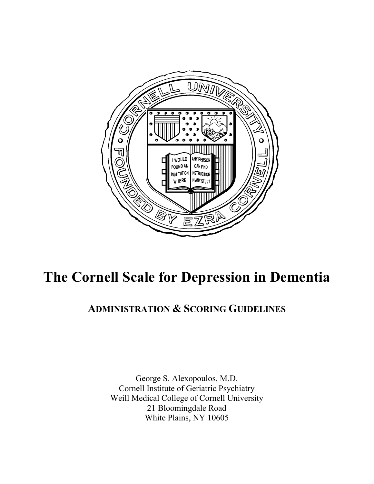

# **The Cornell Scale for Depression in Dementia**

# **ADMINISTRATION & SCORING GUIDELINES**

George S. Alexopoulos, M.D. Cornell Institute of Geriatric Psychiatry Weill Medical College of Cornell University 21 Bloomingdale Road White Plains, NY 10605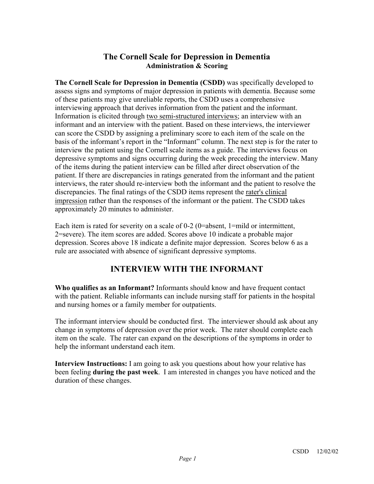#### **The Cornell Scale for Depression in Dementia Administration & Scoring**

**The Cornell Scale for Depression in Dementia (CSDD)** was specifically developed to assess signs and symptoms of major depression in patients with dementia. Because some of these patients may give unreliable reports, the CSDD uses a comprehensive interviewing approach that derives information from the patient and the informant. Information is elicited through two semi-structured interviews; an interview with an informant and an interview with the patient. Based on these interviews, the interviewer can score the CSDD by assigning a preliminary score to each item of the scale on the basis of the informant's report in the "Informant" column. The next step is for the rater to interview the patient using the Cornell scale items as a guide. The interviews focus on depressive symptoms and signs occurring during the week preceding the interview. Many of the items during the patient interview can be filled after direct observation of the patient. If there are discrepancies in ratings generated from the informant and the patient interviews, the rater should re-interview both the informant and the patient to resolve the discrepancies. The final ratings of the CSDD items represent the rater's clinical impression rather than the responses of the informant or the patient. The CSDD takes approximately 20 minutes to administer.

Each item is rated for severity on a scale of 0-2 (0=absent, 1=mild or intermittent, 2=severe). The item scores are added. Scores above 10 indicate a probable major depression. Scores above 18 indicate a definite major depression. Scores below 6 as a rule are associated with absence of significant depressive symptoms.

# **INTERVIEW WITH THE INFORMANT**

**Who qualifies as an Informant?** Informants should know and have frequent contact with the patient. Reliable informants can include nursing staff for patients in the hospital and nursing homes or a family member for outpatients.

The informant interview should be conducted first. The interviewer should ask about any change in symptoms of depression over the prior week. The rater should complete each item on the scale. The rater can expand on the descriptions of the symptoms in order to help the informant understand each item.

**Interview Instructions:** I am going to ask you questions about how your relative has been feeling **during the past week**. I am interested in changes you have noticed and the duration of these changes.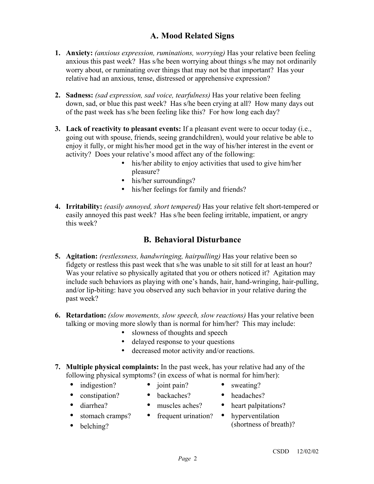# **A. Mood Related Signs**

- **1. Anxiety:** *(anxious expression, ruminations, worrying)* Has your relative been feeling anxious this past week? Has s/he been worrying about things s/he may not ordinarily worry about, or ruminating over things that may not be that important? Has your relative had an anxious, tense, distressed or apprehensive expression?
- **2. Sadness:** *(sad expression, sad voice, tearfulness)* Has your relative been feeling down, sad, or blue this past week? Has s/he been crying at all? How many days out of the past week has s/he been feeling like this? For how long each day?
- **3. Lack of reactivity to pleasant events:** If a pleasant event were to occur today (i.e., going out with spouse, friends, seeing grandchildren), would your relative be able to enjoy it fully, or might his/her mood get in the way of his/her interest in the event or activity? Does your relative's mood affect any of the following:
	- his/her ability to enjoy activities that used to give him/her pleasure?
	- his/her surroundings?
	- his/her feelings for family and friends?
- **4. Irritability:** *(easily annoyed, short tempered)* Has your relative felt short-tempered or easily annoyed this past week? Has s/he been feeling irritable, impatient, or angry this week?

#### **B. Behavioral Disturbance**

- **5. Agitation:** *(restlessness, handwringing, hairpulling)* Has your relative been so fidgety or restless this past week that s/he was unable to sit still for at least an hour? Was your relative so physically agitated that you or others noticed it? Agitation may include such behaviors as playing with one's hands, hair, hand-wringing, hair-pulling, and/or lip-biting: have you observed any such behavior in your relative during the past week?
- **6. Retardation:** *(slow movements, slow speech, slow reactions)* Has your relative been talking or moving more slowly than is normal for him/her? This may include:
	- slowness of thoughts and speech
	- delayed response to your questions
	- decreased motor activity and/or reactions.
- **7. Multiple physical complaints:** In the past week, has your relative had any of the following physical symptoms? (in excess of what is normal for him/her):
	- indigestion?
- joint pain?
- sweating?

• constipation?

• stomach cramps?

- backaches?
- headaches?
- diarrhea?
- muscles aches?
	-
- frequent urination? hyperventilation (shortness of breath)?

• heart palpitations?

• belching?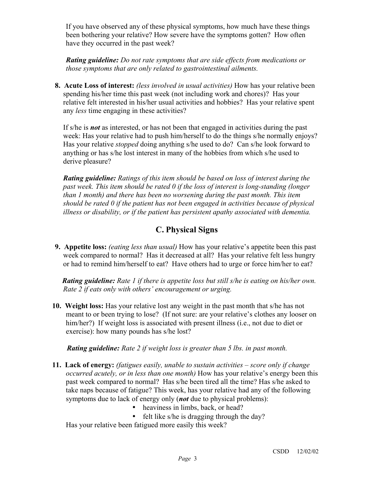If you have observed any of these physical symptoms, how much have these things been bothering your relative? How severe have the symptoms gotten? How often have they occurred in the past week?

*Rating guideline: Do not rate symptoms that are side effects from medications or those symptoms that are only related to gastrointestinal ailments.* 

**8. Acute Loss of interest:** *(less involved in usual activities)* How has your relative been spending his/her time this past week (not including work and chores)? Has your relative felt interested in his/her usual activities and hobbies? Has your relative spent any *less* time engaging in these activities?

If s/he is *not* as interested, or has not been that engaged in activities during the past week: Has your relative had to push him/herself to do the things s/he normally enjoys? Has your relative *stopped* doing anything s/he used to do? Can s/he look forward to anything or has s/he lost interest in many of the hobbies from which s/he used to derive pleasure?

*Rating guideline: Ratings of this item should be based on loss of interest during the past week. This item should be rated 0 if the loss of interest is long-standing (longer than 1 month) and there has been no worsening during the past month. This item should be rated 0 if the patient has not been engaged in activities because of physical illness or disability, or if the patient has persistent apathy associated with dementia.* 

# **C. Physical Signs**

**9. Appetite loss:** *(eating less than usual)* How has your relative's appetite been this past week compared to normal? Has it decreased at all? Has your relative felt less hungry or had to remind him/herself to eat? Have others had to urge or force him/her to eat?

 *Rating guideline: Rate 1 if there is appetite loss but still s/he is eating on his/her own. Rate 2 if eats only with others' encouragement or urging.* 

**10. Weight loss:** Has your relative lost any weight in the past month that s/he has not meant to or been trying to lose? (If not sure: are your relative's clothes any looser on him/her?) If weight loss is associated with present illness (i.e., not due to diet or exercise): how many pounds has s/he lost?

 *Rating guideline: Rate 2 if weight loss is greater than 5 lbs. in past month.* 

- **11. Lack of energy:** *(fatigues easily, unable to sustain activities score only if change occurred acutely, or in less than one month)* How has your relative's energy been this past week compared to normal? Has s/he been tired all the time? Has s/he asked to take naps because of fatigue? This week, has your relative had any of the following symptoms due to lack of energy only (*not* due to physical problems):
	- heaviness in limbs, back, or head?
	- felt like s/he is dragging through the day?

Has your relative been fatigued more easily this week?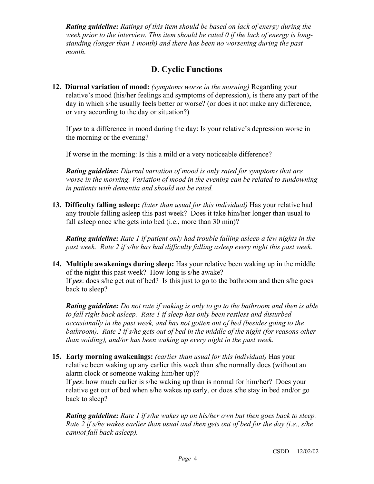*Rating guideline: Ratings of this item should be based on lack of energy during the week prior to the interview. This item should be rated 0 if the lack of energy is longstanding (longer than 1 month) and there has been no worsening during the past month.* 

# **D. Cyclic Functions**

**12. Diurnal variation of mood:** *(symptoms worse in the morning)* Regarding your relative's mood (his/her feelings and symptoms of depression), is there any part of the day in which s/he usually feels better or worse? (or does it not make any difference, or vary according to the day or situation?)

If *yes* to a difference in mood during the day: Is your relative's depression worse in the morning or the evening?

If worse in the morning: Is this a mild or a very noticeable difference?

*Rating guideline: Diurnal variation of mood is only rated for symptoms that are worse in the morning. Variation of mood in the evening can be related to sundowning in patients with dementia and should not be rated.* 

**13. Difficulty falling asleep:** *(later than usual for this individual)* Has your relative had any trouble falling asleep this past week? Does it take him/her longer than usual to fall asleep once s/he gets into bed (i.e., more than 30 min)?

*Rating guideline: Rate 1 if patient only had trouble falling asleep a few nights in the past week. Rate 2 if s/he has had difficulty falling asleep every night this past week.* 

**14. Multiple awakenings during sleep:** Has your relative been waking up in the middle of the night this past week? How long is s/he awake? If *yes*: does s/he get out of bed? Is this just to go to the bathroom and then s/he goes back to sleep?

*Rating guideline: Do not rate if waking is only to go to the bathroom and then is able to fall right back asleep. Rate 1 if sleep has only been restless and disturbed occasionally in the past week, and has not gotten out of bed (besides going to the bathroom). Rate 2 if s/he gets out of bed in the middle of the night (for reasons other than voiding), and/or has been waking up every night in the past week.* 

**15. Early morning awakenings:** *(earlier than usual for this individual)* Has your relative been waking up any earlier this week than s/he normally does (without an alarm clock or someone waking him/her up)?

If *yes*: how much earlier is s/he waking up than is normal for him/her? Does your relative get out of bed when s/he wakes up early, or does s/he stay in bed and/or go back to sleep?

*Rating guideline: Rate 1 if s/he wakes up on his/her own but then goes back to sleep. Rate 2 if s/he wakes earlier than usual and then gets out of bed for the day (i.e., s/he cannot fall back asleep).*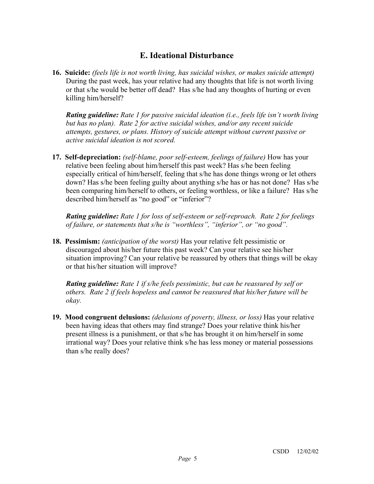#### **E. Ideational Disturbance**

**16. Suicide:** *(feels life is not worth living, has suicidal wishes, or makes suicide attempt)*  During the past week, has your relative had any thoughts that life is not worth living or that s/he would be better off dead? Has s/he had any thoughts of hurting or even killing him/herself?

*Rating guideline: Rate 1 for passive suicidal ideation (i.e., feels life isn't worth living but has no plan). Rate 2 for active suicidal wishes, and/or any recent suicide attempts, gestures, or plans. History of suicide attempt without current passive or active suicidal ideation is not scored.* 

**17. Self-depreciation:** *(self-blame, poor self-esteem, feelings of failure)* How has your relative been feeling about him/herself this past week? Has s/he been feeling especially critical of him/herself, feeling that s/he has done things wrong or let others down? Has s/he been feeling guilty about anything s/he has or has not done? Has s/he been comparing him/herself to others, or feeling worthless, or like a failure? Has s/he described him/herself as "no good" or "inferior"?

*Rating guideline: Rate 1 for loss of self-esteem or self-reproach. Rate 2 for feelings of failure, or statements that s/he is "worthless", "inferior", or "no good".* 

**18. Pessimism:** *(anticipation of the worst)* Has your relative felt pessimistic or discouraged about his/her future this past week? Can your relative see his/her situation improving? Can your relative be reassured by others that things will be okay or that his/her situation will improve?

*Rating guideline: Rate 1 if s/he feels pessimistic, but can be reassured by self or others. Rate 2 if feels hopeless and cannot be reassured that his/her future will be okay.* 

**19. Mood congruent delusions:** *(delusions of poverty, illness, or loss)* Has your relative been having ideas that others may find strange? Does your relative think his/her present illness is a punishment, or that s/he has brought it on him/herself in some irrational way? Does your relative think s/he has less money or material possessions than s/he really does?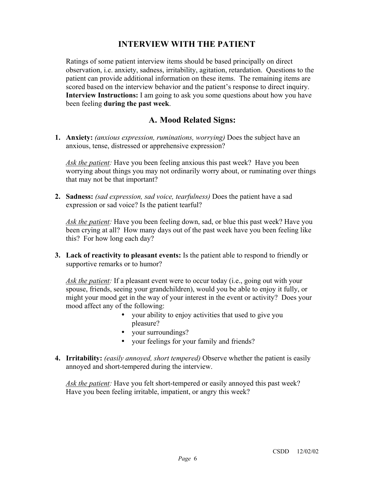#### **INTERVIEW WITH THE PATIENT**

Ratings of some patient interview items should be based principally on direct observation, i.e. anxiety, sadness, irritability, agitation, retardation. Questions to the patient can provide additional information on these items. The remaining items are scored based on the interview behavior and the patient's response to direct inquiry. **Interview Instructions:** I am going to ask you some questions about how you have been feeling **during the past week**.

#### **A. Mood Related Signs:**

**1. Anxiety:** *(anxious expression, ruminations, worrying)* Does the subject have an anxious, tense, distressed or apprehensive expression?

*Ask the patient:* Have you been feeling anxious this past week? Have you been worrying about things you may not ordinarily worry about, or ruminating over things that may not be that important?

**2. Sadness:** *(sad expression, sad voice, tearfulness)* Does the patient have a sad expression or sad voice? Is the patient tearful?

*Ask the patient:* Have you been feeling down, sad, or blue this past week? Have you been crying at all? How many days out of the past week have you been feeling like this? For how long each day?

**3. Lack of reactivity to pleasant events:** Is the patient able to respond to friendly or supportive remarks or to humor?

 *Ask the patient:* If a pleasant event were to occur today (i.e., going out with your spouse, friends, seeing your grandchildren), would you be able to enjoy it fully, or might your mood get in the way of your interest in the event or activity? Does your mood affect any of the following:

- vour ability to enjoy activities that used to give you pleasure?
- your surroundings?
- your feelings for your family and friends?
- **4. Irritability:** *(easily annoyed, short tempered)* Observe whether the patient is easily annoyed and short-tempered during the interview.

*Ask the patient:* Have you felt short-tempered or easily annoyed this past week? Have you been feeling irritable, impatient, or angry this week?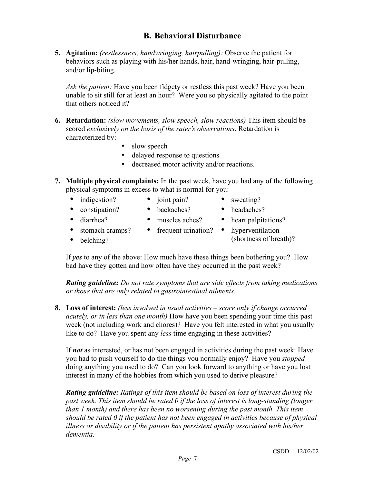#### **B. Behavioral Disturbance**

**5. Agitation:** *(restlessness, handwringing, hairpulling):* Observe the patient for behaviors such as playing with his/her hands, hair, hand-wringing, hair-pulling, and/or lip-biting.

 *Ask the patient:* Have you been fidgety or restless this past week? Have you been unable to sit still for at least an hour? Were you so physically agitated to the point that others noticed it?

- **6. Retardation:** *(slow movements, slow speech, slow reactions)* This item should be scored *exclusively on the basis of the rater's observations*. Retardation is characterized by:
	- slow speech
	- delayed response to questions
	- decreased motor activity and/or reactions.
- **7. Multiple physical complaints:** In the past week, have you had any of the following physical symptoms in excess to what is normal for you:
	- indigestion?
		- joint pain? • backaches?
			- headaches?

• constipation? • diarrhea?

• stomach cramps?

- muscles aches?
- frequent urination?  $\bullet$ hyperventilation (shortness of breath)?

• heart palpitations?

• sweating?

• belching?

 If *yes* to any of the above: How much have these things been bothering you? How bad have they gotten and how often have they occurred in the past week?

*Rating guideline: Do not rate symptoms that are side effects from taking medications or those that are only related to gastrointestinal ailments.* 

**8. Loss of interest:** *(less involved in usual activities – score only if change occurred acutely, or in less than one month)* How have you been spending your time this past week (not including work and chores)? Have you felt interested in what you usually like to do? Have you spent any *less* time engaging in these activities?

If *not* as interested, or has not been engaged in activities during the past week: Have you had to push yourself to do the things you normally enjoy? Have you *stopped* doing anything you used to do? Can you look forward to anything or have you lost interest in many of the hobbies from which you used to derive pleasure?

*Rating guideline: Ratings of this item should be based on loss of interest during the past week. This item should be rated 0 if the loss of interest is long-standing (longer than 1 month) and there has been no worsening during the past month. This item should be rated 0 if the patient has not been engaged in activities because of physical illness or disability or if the patient has persistent apathy associated with his/her dementia.*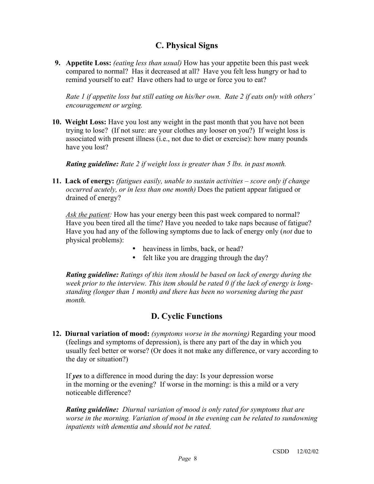# **C. Physical Signs**

**9. Appetite Loss:** *(eating less than usual)* How has your appetite been this past week compared to normal? Has it decreased at all? Have you felt less hungry or had to remind yourself to eat? Have others had to urge or force you to eat?

*Rate 1 if appetite loss but still eating on his/her own. Rate 2 if eats only with others' encouragement or urging.* 

**10. Weight Loss:** Have you lost any weight in the past month that you have not been trying to lose? (If not sure: are your clothes any looser on you?) If weight loss is associated with present illness (i.e., not due to diet or exercise): how many pounds have you lost?

*Rating guideline: Rate 2 if weight loss is greater than 5 lbs. in past month.* 

**11. Lack of energy:** *(fatigues easily, unable to sustain activities – score only if change occurred acutely, or in less than one month)* Does the patient appear fatigued or drained of energy?

*Ask the patient:* How has your energy been this past week compared to normal? Have you been tired all the time? Have you needed to take naps because of fatigue? Have you had any of the following symptoms due to lack of energy only (*not* due to physical problems):

- heaviness in limbs, back, or head?
- felt like you are dragging through the day?

 *Rating guideline: Ratings of this item should be based on lack of energy during the week prior to the interview. This item should be rated 0 if the lack of energy is longstanding (longer than 1 month) and there has been no worsening during the past month.* 

#### **D. Cyclic Functions**

**12. Diurnal variation of mood:** *(symptoms worse in the morning)* Regarding your mood (feelings and symptoms of depression), is there any part of the day in which you usually feel better or worse? (Or does it not make any difference, or vary according to the day or situation?)

 If *yes* to a difference in mood during the day: Is your depression worse in the morning or the evening? If worse in the morning: is this a mild or a very noticeable difference?

*Rating guideline: Diurnal variation of mood is only rated for symptoms that are worse in the morning. Variation of mood in the evening can be related to sundowning inpatients with dementia and should not be rated.*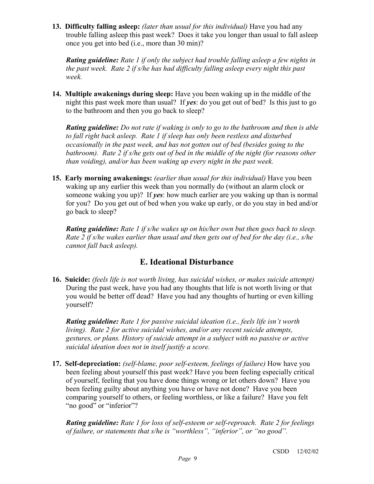**13. Difficulty falling asleep:** *(later than usual for this individual)* Have you had any trouble falling asleep this past week? Does it take you longer than usual to fall asleep once you get into bed (i.e., more than 30 min)?

*Rating guideline: Rate 1 if only the subject had trouble falling asleep a few nights in the past week. Rate 2 if s/he has had difficulty falling asleep every night this past week.* 

**14. Multiple awakenings during sleep:** Have you been waking up in the middle of the night this past week more than usual? If *yes*: do you get out of bed? Is this just to go to the bathroom and then you go back to sleep?

*Rating guideline: Do not rate if waking is only to go to the bathroom and then is able to fall right back asleep. Rate 1 if sleep has only been restless and disturbed occasionally in the past week, and has not gotten out of bed (besides going to the*  bathroom). Rate 2 if s/he gets out of bed in the middle of the night (for reasons other *than voiding), and/or has been waking up every night in the past week.* 

**15. Early morning awakenings:** *(earlier than usual for this individual)* Have you been waking up any earlier this week than you normally do (without an alarm clock or someone waking you up)? If *yes*: how much earlier are you waking up than is normal for you? Do you get out of bed when you wake up early, or do you stay in bed and/or go back to sleep?

*Rating guideline: Rate 1 if s/he wakes up on his/her own but then goes back to sleep. Rate 2 if s/he wakes earlier than usual and then gets out of bed for the day (i.e., s/he cannot fall back asleep).* 

# **E. Ideational Disturbance**

**16. Suicide:** *(feels life is not worth living, has suicidal wishes, or makes suicide attempt)*  During the past week, have you had any thoughts that life is not worth living or that you would be better off dead? Have you had any thoughts of hurting or even killing yourself?

*Rating guideline: Rate 1 for passive suicidal ideation (i.e., feels life isn't worth living). Rate 2 for active suicidal wishes, and/or any recent suicide attempts, gestures, or plans. History of suicide attempt in a subject with no passive or active suicidal ideation does not in itself justify a score.* 

**17. Self-depreciation:** *(self-blame, poor self-esteem, feelings of failure)* How have you been feeling about yourself this past week? Have you been feeling especially critical of yourself, feeling that you have done things wrong or let others down? Have you been feeling guilty about anything you have or have not done? Have you been comparing yourself to others, or feeling worthless, or like a failure? Have you felt "no good" or "inferior"?

*Rating guideline: Rate 1 for loss of self-esteem or self-reproach. Rate 2 for feelings of failure, or statements that s/he is "worthless", "inferior", or "no good".*